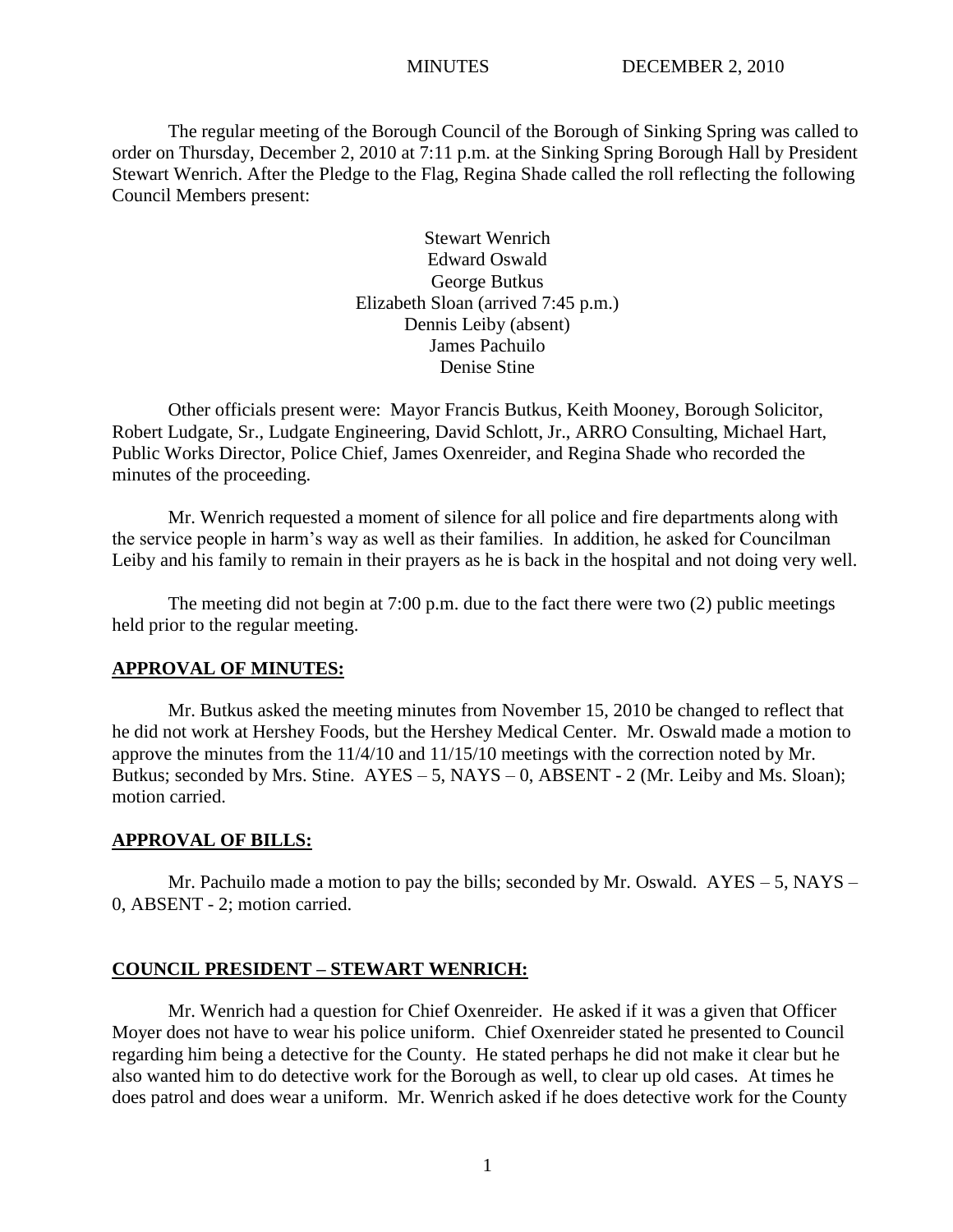The regular meeting of the Borough Council of the Borough of Sinking Spring was called to order on Thursday, December 2, 2010 at 7:11 p.m. at the Sinking Spring Borough Hall by President Stewart Wenrich. After the Pledge to the Flag, Regina Shade called the roll reflecting the following Council Members present:

> Stewart Wenrich Edward Oswald George Butkus Elizabeth Sloan (arrived 7:45 p.m.) Dennis Leiby (absent) James Pachuilo Denise Stine

Other officials present were: Mayor Francis Butkus, Keith Mooney, Borough Solicitor, Robert Ludgate, Sr., Ludgate Engineering, David Schlott, Jr., ARRO Consulting, Michael Hart, Public Works Director, Police Chief, James Oxenreider, and Regina Shade who recorded the minutes of the proceeding.

Mr. Wenrich requested a moment of silence for all police and fire departments along with the service people in harm's way as well as their families. In addition, he asked for Councilman Leiby and his family to remain in their prayers as he is back in the hospital and not doing very well.

The meeting did not begin at 7:00 p.m. due to the fact there were two (2) public meetings held prior to the regular meeting.

#### **APPROVAL OF MINUTES:**

Mr. Butkus asked the meeting minutes from November 15, 2010 be changed to reflect that he did not work at Hershey Foods, but the Hershey Medical Center. Mr. Oswald made a motion to approve the minutes from the 11/4/10 and 11/15/10 meetings with the correction noted by Mr. Butkus; seconded by Mrs. Stine.  $AYES - 5$ ,  $NAYS - 0$ ,  $ABSENT - 2$  (Mr. Leiby and Ms. Sloan); motion carried.

#### **APPROVAL OF BILLS:**

Mr. Pachuilo made a motion to pay the bills; seconded by Mr. Oswald.  $AYES - 5$ , NAYS – 0, ABSENT - 2; motion carried.

#### **COUNCIL PRESIDENT – STEWART WENRICH:**

Mr. Wenrich had a question for Chief Oxenreider. He asked if it was a given that Officer Moyer does not have to wear his police uniform. Chief Oxenreider stated he presented to Council regarding him being a detective for the County. He stated perhaps he did not make it clear but he also wanted him to do detective work for the Borough as well, to clear up old cases. At times he does patrol and does wear a uniform. Mr. Wenrich asked if he does detective work for the County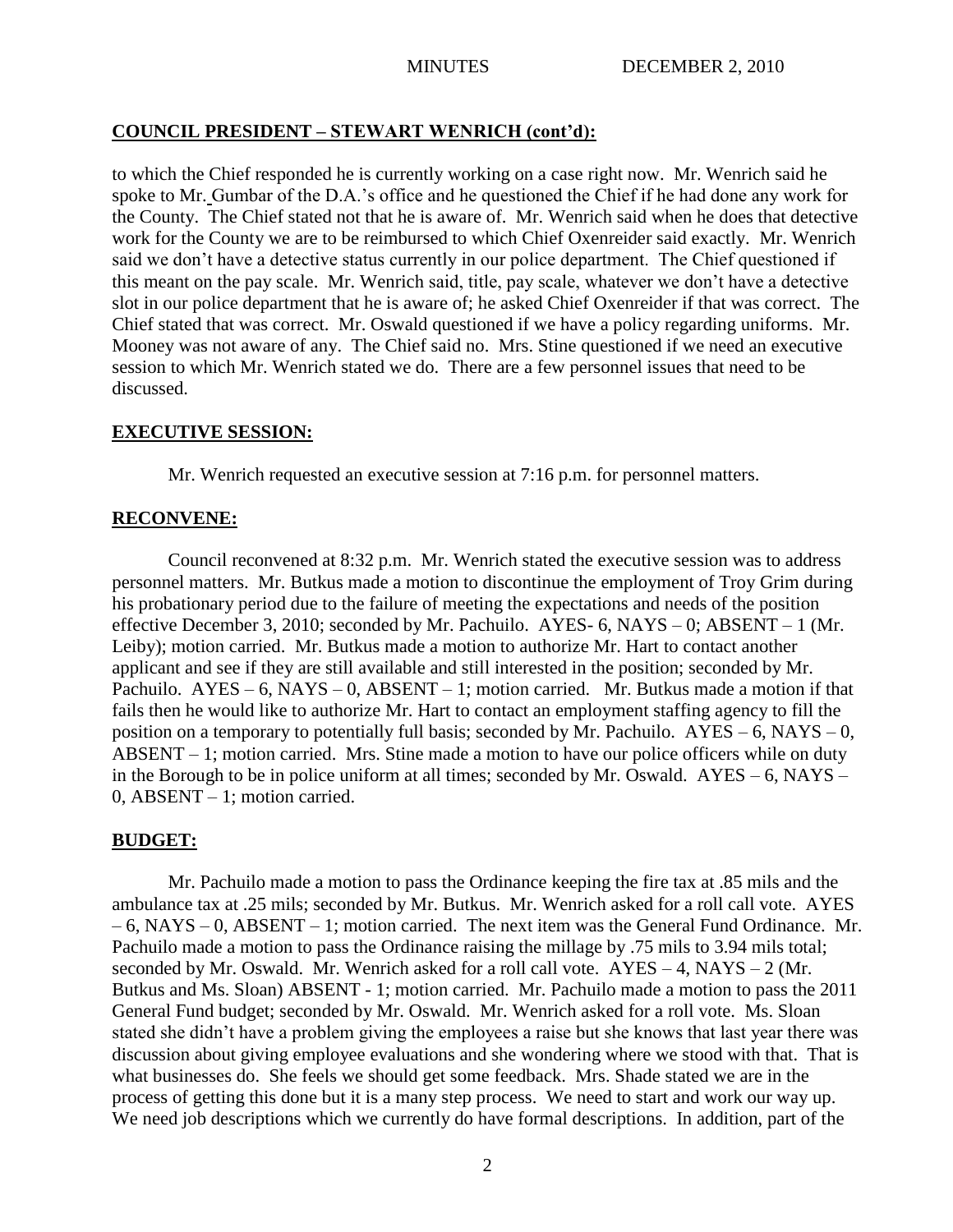## **COUNCIL PRESIDENT – STEWART WENRICH (cont'd):**

to which the Chief responded he is currently working on a case right now. Mr. Wenrich said he spoke to Mr. Gumbar of the D.A.'s office and he questioned the Chief if he had done any work for the County. The Chief stated not that he is aware of. Mr. Wenrich said when he does that detective work for the County we are to be reimbursed to which Chief Oxenreider said exactly. Mr. Wenrich said we don't have a detective status currently in our police department. The Chief questioned if this meant on the pay scale. Mr. Wenrich said, title, pay scale, whatever we don't have a detective slot in our police department that he is aware of; he asked Chief Oxenreider if that was correct. The Chief stated that was correct. Mr. Oswald questioned if we have a policy regarding uniforms. Mr. Mooney was not aware of any. The Chief said no. Mrs. Stine questioned if we need an executive session to which Mr. Wenrich stated we do. There are a few personnel issues that need to be discussed.

## **EXECUTIVE SESSION:**

Mr. Wenrich requested an executive session at 7:16 p.m. for personnel matters.

## **RECONVENE:**

Council reconvened at 8:32 p.m. Mr. Wenrich stated the executive session was to address personnel matters. Mr. Butkus made a motion to discontinue the employment of Troy Grim during his probationary period due to the failure of meeting the expectations and needs of the position effective December 3, 2010; seconded by Mr. Pachuilo. AYES- 6, NAYS – 0; ABSENT – 1 (Mr. Leiby); motion carried. Mr. Butkus made a motion to authorize Mr. Hart to contact another applicant and see if they are still available and still interested in the position; seconded by Mr. Pachuilo.  $AYES - 6$ ,  $NAYS - 0$ ,  $ABSENT - 1$ ; motion carried. Mr. Butkus made a motion if that fails then he would like to authorize Mr. Hart to contact an employment staffing agency to fill the position on a temporary to potentially full basis; seconded by Mr. Pachuilo.  $AYES - 6$ ,  $NAYS - 0$ , ABSENT – 1; motion carried. Mrs. Stine made a motion to have our police officers while on duty in the Borough to be in police uniform at all times; seconded by Mr. Oswald. AYES – 6, NAYS – 0, ABSENT – 1; motion carried.

## **BUDGET:**

Mr. Pachuilo made a motion to pass the Ordinance keeping the fire tax at .85 mils and the ambulance tax at .25 mils; seconded by Mr. Butkus. Mr. Wenrich asked for a roll call vote. AYES – 6, NAYS – 0, ABSENT – 1; motion carried. The next item was the General Fund Ordinance. Mr. Pachuilo made a motion to pass the Ordinance raising the millage by .75 mils to 3.94 mils total; seconded by Mr. Oswald. Mr. Wenrich asked for a roll call vote.  $AYES - 4$ ,  $NAYS - 2$  (Mr. Butkus and Ms. Sloan) ABSENT - 1; motion carried. Mr. Pachuilo made a motion to pass the 2011 General Fund budget; seconded by Mr. Oswald. Mr. Wenrich asked for a roll vote. Ms. Sloan stated she didn't have a problem giving the employees a raise but she knows that last year there was discussion about giving employee evaluations and she wondering where we stood with that. That is what businesses do. She feels we should get some feedback. Mrs. Shade stated we are in the process of getting this done but it is a many step process. We need to start and work our way up. We need job descriptions which we currently do have formal descriptions. In addition, part of the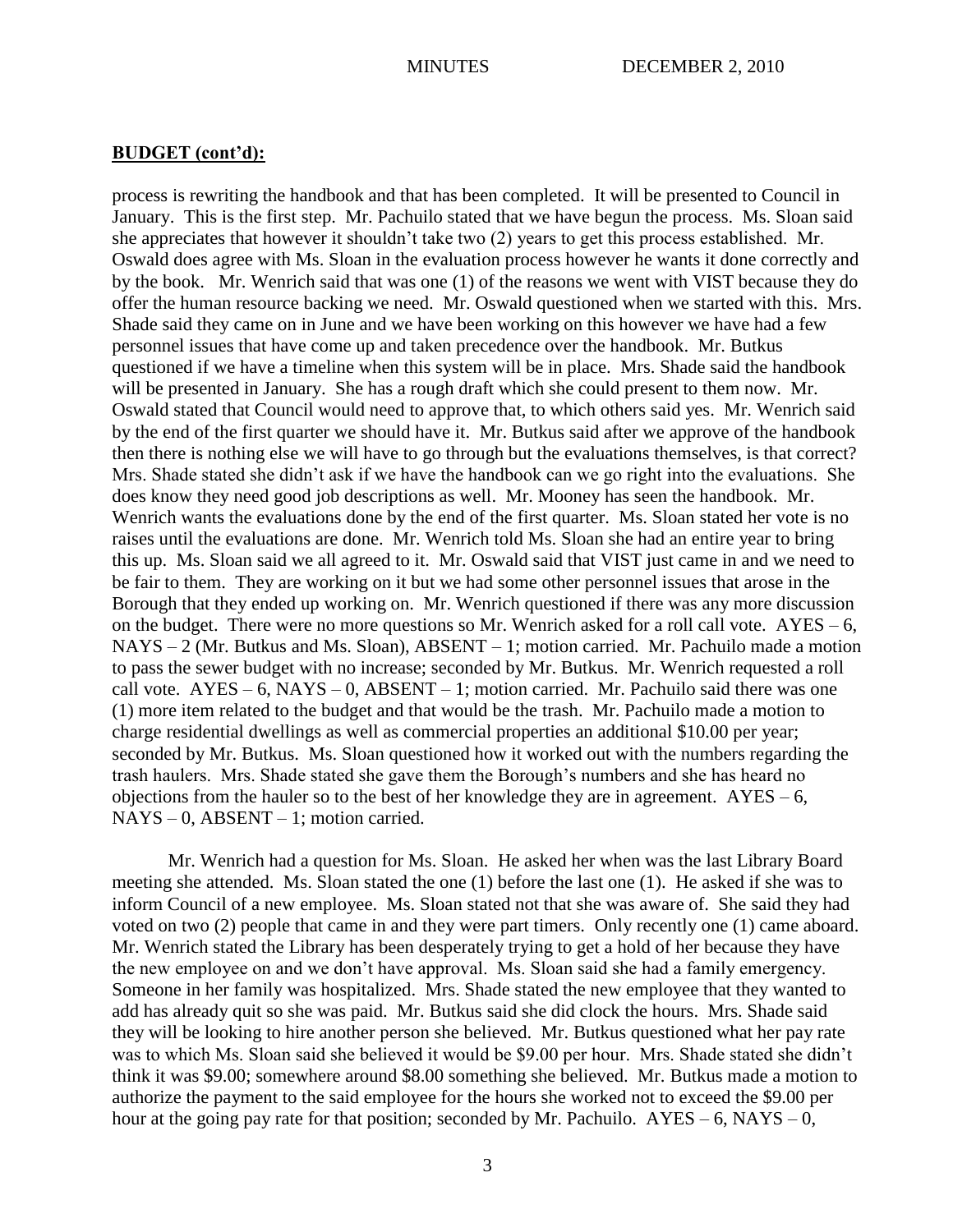### **BUDGET (cont'd):**

process is rewriting the handbook and that has been completed. It will be presented to Council in January. This is the first step. Mr. Pachuilo stated that we have begun the process. Ms. Sloan said she appreciates that however it shouldn't take two (2) years to get this process established. Mr. Oswald does agree with Ms. Sloan in the evaluation process however he wants it done correctly and by the book. Mr. Wenrich said that was one (1) of the reasons we went with VIST because they do offer the human resource backing we need. Mr. Oswald questioned when we started with this. Mrs. Shade said they came on in June and we have been working on this however we have had a few personnel issues that have come up and taken precedence over the handbook. Mr. Butkus questioned if we have a timeline when this system will be in place. Mrs. Shade said the handbook will be presented in January. She has a rough draft which she could present to them now. Mr. Oswald stated that Council would need to approve that, to which others said yes. Mr. Wenrich said by the end of the first quarter we should have it. Mr. Butkus said after we approve of the handbook then there is nothing else we will have to go through but the evaluations themselves, is that correct? Mrs. Shade stated she didn't ask if we have the handbook can we go right into the evaluations. She does know they need good job descriptions as well. Mr. Mooney has seen the handbook. Mr. Wenrich wants the evaluations done by the end of the first quarter. Ms. Sloan stated her vote is no raises until the evaluations are done. Mr. Wenrich told Ms. Sloan she had an entire year to bring this up. Ms. Sloan said we all agreed to it. Mr. Oswald said that VIST just came in and we need to be fair to them. They are working on it but we had some other personnel issues that arose in the Borough that they ended up working on. Mr. Wenrich questioned if there was any more discussion on the budget. There were no more questions so Mr. Wenrich asked for a roll call vote.  $AYES - 6$ , NAYS – 2 (Mr. Butkus and Ms. Sloan), ABSENT – 1; motion carried. Mr. Pachuilo made a motion to pass the sewer budget with no increase; seconded by Mr. Butkus. Mr. Wenrich requested a roll call vote.  $AYES - 6$ ,  $NAYS - 0$ ,  $ABSENT - 1$ ; motion carried. Mr. Pachuilo said there was one (1) more item related to the budget and that would be the trash. Mr. Pachuilo made a motion to charge residential dwellings as well as commercial properties an additional \$10.00 per year; seconded by Mr. Butkus. Ms. Sloan questioned how it worked out with the numbers regarding the trash haulers. Mrs. Shade stated she gave them the Borough's numbers and she has heard no objections from the hauler so to the best of her knowledge they are in agreement.  $AYES - 6$ ,  $NAYS - 0$ ,  $ABSENT - 1$ ; motion carried.

Mr. Wenrich had a question for Ms. Sloan. He asked her when was the last Library Board meeting she attended. Ms. Sloan stated the one (1) before the last one (1). He asked if she was to inform Council of a new employee. Ms. Sloan stated not that she was aware of. She said they had voted on two (2) people that came in and they were part timers. Only recently one (1) came aboard. Mr. Wenrich stated the Library has been desperately trying to get a hold of her because they have the new employee on and we don't have approval. Ms. Sloan said she had a family emergency. Someone in her family was hospitalized. Mrs. Shade stated the new employee that they wanted to add has already quit so she was paid. Mr. Butkus said she did clock the hours. Mrs. Shade said they will be looking to hire another person she believed. Mr. Butkus questioned what her pay rate was to which Ms. Sloan said she believed it would be \$9.00 per hour. Mrs. Shade stated she didn't think it was \$9.00; somewhere around \$8.00 something she believed. Mr. Butkus made a motion to authorize the payment to the said employee for the hours she worked not to exceed the \$9.00 per hour at the going pay rate for that position; seconded by Mr. Pachuilo.  $AYES - 6$ ,  $NAYS - 0$ ,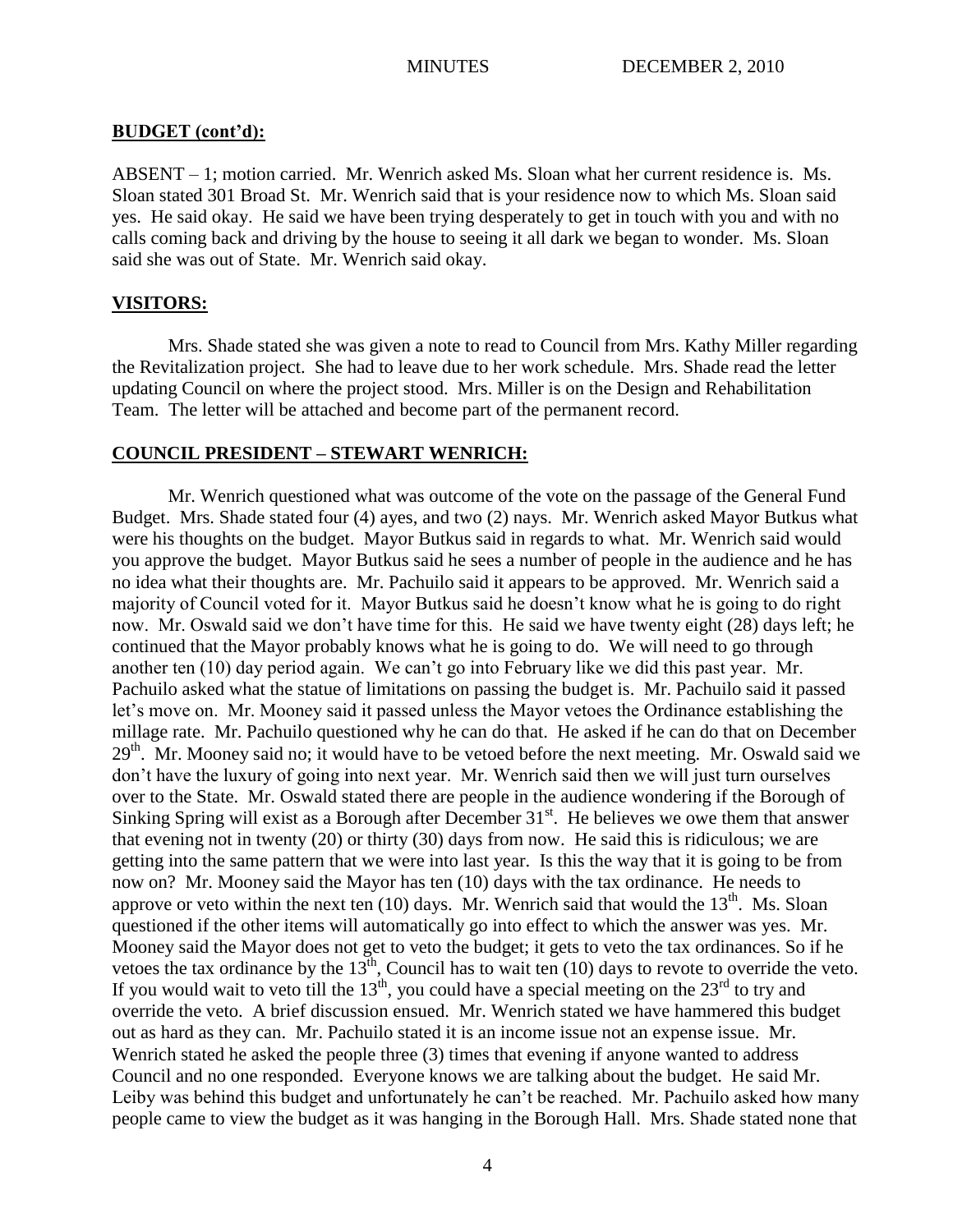#### **BUDGET (cont'd):**

ABSENT – 1; motion carried. Mr. Wenrich asked Ms. Sloan what her current residence is. Ms. Sloan stated 301 Broad St. Mr. Wenrich said that is your residence now to which Ms. Sloan said yes. He said okay. He said we have been trying desperately to get in touch with you and with no calls coming back and driving by the house to seeing it all dark we began to wonder. Ms. Sloan said she was out of State. Mr. Wenrich said okay.

## **VISITORS:**

Mrs. Shade stated she was given a note to read to Council from Mrs. Kathy Miller regarding the Revitalization project. She had to leave due to her work schedule. Mrs. Shade read the letter updating Council on where the project stood. Mrs. Miller is on the Design and Rehabilitation Team. The letter will be attached and become part of the permanent record.

## **COUNCIL PRESIDENT – STEWART WENRICH:**

Mr. Wenrich questioned what was outcome of the vote on the passage of the General Fund Budget. Mrs. Shade stated four (4) ayes, and two (2) nays. Mr. Wenrich asked Mayor Butkus what were his thoughts on the budget. Mayor Butkus said in regards to what. Mr. Wenrich said would you approve the budget. Mayor Butkus said he sees a number of people in the audience and he has no idea what their thoughts are. Mr. Pachuilo said it appears to be approved. Mr. Wenrich said a majority of Council voted for it. Mayor Butkus said he doesn't know what he is going to do right now. Mr. Oswald said we don't have time for this. He said we have twenty eight (28) days left; he continued that the Mayor probably knows what he is going to do. We will need to go through another ten (10) day period again. We can't go into February like we did this past year. Mr. Pachuilo asked what the statue of limitations on passing the budget is. Mr. Pachuilo said it passed let's move on. Mr. Mooney said it passed unless the Mayor vetoes the Ordinance establishing the millage rate. Mr. Pachuilo questioned why he can do that. He asked if he can do that on December 29<sup>th</sup>. Mr. Mooney said no; it would have to be vetoed before the next meeting. Mr. Oswald said we don't have the luxury of going into next year. Mr. Wenrich said then we will just turn ourselves over to the State. Mr. Oswald stated there are people in the audience wondering if the Borough of Sinking Spring will exist as a Borough after December  $31<sup>st</sup>$ . He believes we owe them that answer that evening not in twenty (20) or thirty (30) days from now. He said this is ridiculous; we are getting into the same pattern that we were into last year. Is this the way that it is going to be from now on? Mr. Mooney said the Mayor has ten (10) days with the tax ordinance. He needs to approve or veto within the next ten  $(10)$  days. Mr. Wenrich said that would the  $13<sup>th</sup>$ . Ms. Sloan questioned if the other items will automatically go into effect to which the answer was yes. Mr. Mooney said the Mayor does not get to veto the budget; it gets to veto the tax ordinances. So if he vetoes the tax ordinance by the  $13<sup>th</sup>$ , Council has to wait ten (10) days to revote to override the veto. If you would wait to veto till the  $13<sup>th</sup>$ , you could have a special meeting on the  $23<sup>rd</sup>$  to try and override the veto. A brief discussion ensued. Mr. Wenrich stated we have hammered this budget out as hard as they can. Mr. Pachuilo stated it is an income issue not an expense issue. Mr. Wenrich stated he asked the people three (3) times that evening if anyone wanted to address Council and no one responded. Everyone knows we are talking about the budget. He said Mr. Leiby was behind this budget and unfortunately he can't be reached. Mr. Pachuilo asked how many people came to view the budget as it was hanging in the Borough Hall. Mrs. Shade stated none that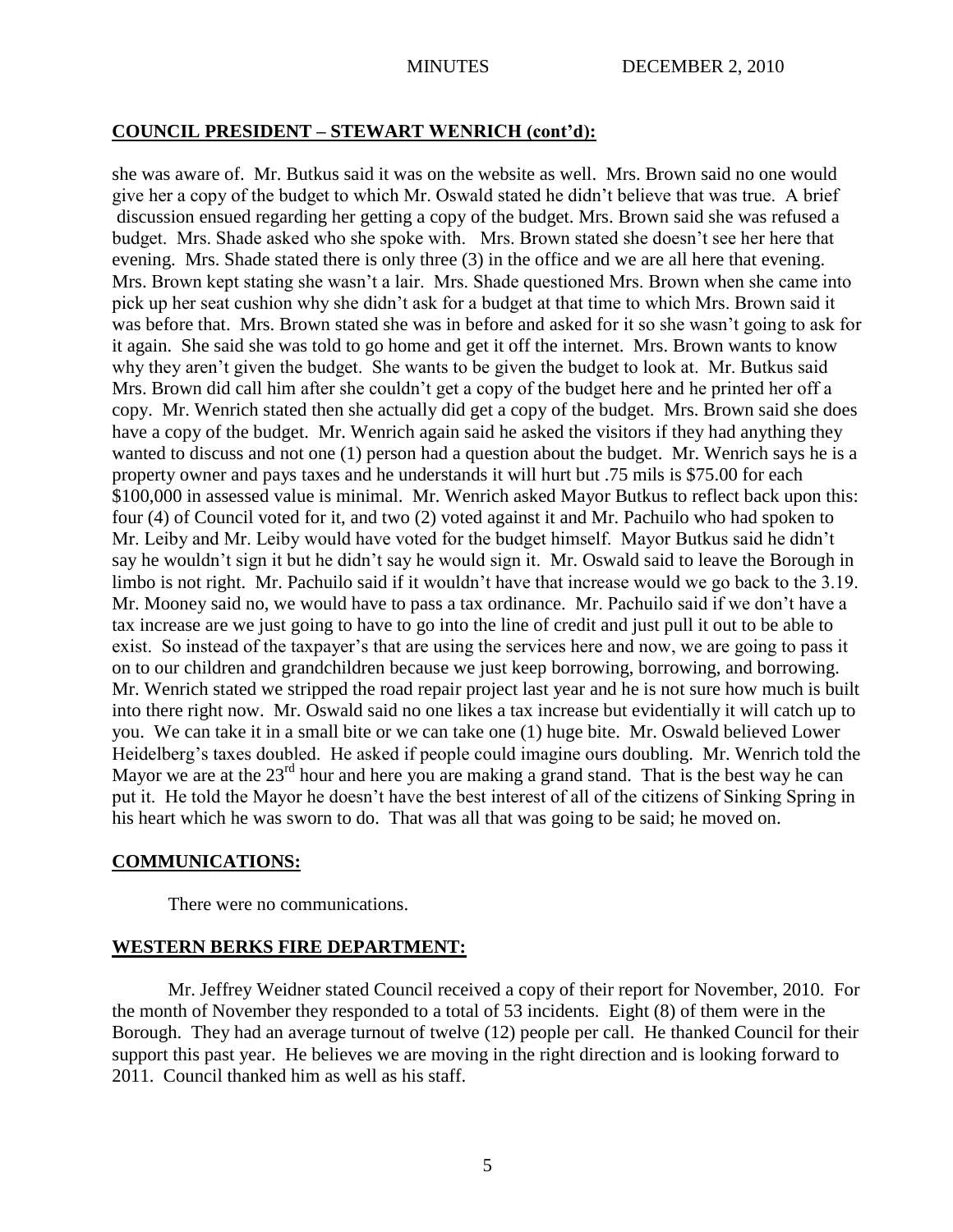### **COUNCIL PRESIDENT – STEWART WENRICH (cont'd):**

she was aware of. Mr. Butkus said it was on the website as well. Mrs. Brown said no one would give her a copy of the budget to which Mr. Oswald stated he didn't believe that was true. A brief discussion ensued regarding her getting a copy of the budget. Mrs. Brown said she was refused a budget. Mrs. Shade asked who she spoke with. Mrs. Brown stated she doesn't see her here that evening. Mrs. Shade stated there is only three (3) in the office and we are all here that evening. Mrs. Brown kept stating she wasn't a lair. Mrs. Shade questioned Mrs. Brown when she came into pick up her seat cushion why she didn't ask for a budget at that time to which Mrs. Brown said it was before that. Mrs. Brown stated she was in before and asked for it so she wasn't going to ask for it again. She said she was told to go home and get it off the internet. Mrs. Brown wants to know why they aren't given the budget. She wants to be given the budget to look at. Mr. Butkus said Mrs. Brown did call him after she couldn't get a copy of the budget here and he printed her off a copy. Mr. Wenrich stated then she actually did get a copy of the budget. Mrs. Brown said she does have a copy of the budget. Mr. Wenrich again said he asked the visitors if they had anything they wanted to discuss and not one (1) person had a question about the budget. Mr. Wenrich says he is a property owner and pays taxes and he understands it will hurt but .75 mils is \$75.00 for each \$100,000 in assessed value is minimal. Mr. Wenrich asked Mayor Butkus to reflect back upon this: four (4) of Council voted for it, and two (2) voted against it and Mr. Pachuilo who had spoken to Mr. Leiby and Mr. Leiby would have voted for the budget himself. Mayor Butkus said he didn't say he wouldn't sign it but he didn't say he would sign it. Mr. Oswald said to leave the Borough in limbo is not right. Mr. Pachuilo said if it wouldn't have that increase would we go back to the 3.19. Mr. Mooney said no, we would have to pass a tax ordinance. Mr. Pachuilo said if we don't have a tax increase are we just going to have to go into the line of credit and just pull it out to be able to exist. So instead of the taxpayer's that are using the services here and now, we are going to pass it on to our children and grandchildren because we just keep borrowing, borrowing, and borrowing. Mr. Wenrich stated we stripped the road repair project last year and he is not sure how much is built into there right now. Mr. Oswald said no one likes a tax increase but evidentially it will catch up to you. We can take it in a small bite or we can take one (1) huge bite. Mr. Oswald believed Lower Heidelberg's taxes doubled. He asked if people could imagine ours doubling. Mr. Wenrich told the Mayor we are at the  $23<sup>rd</sup>$  hour and here you are making a grand stand. That is the best way he can put it. He told the Mayor he doesn't have the best interest of all of the citizens of Sinking Spring in his heart which he was sworn to do. That was all that was going to be said; he moved on.

#### **COMMUNICATIONS:**

There were no communications.

#### **WESTERN BERKS FIRE DEPARTMENT:**

Mr. Jeffrey Weidner stated Council received a copy of their report for November, 2010. For the month of November they responded to a total of 53 incidents. Eight (8) of them were in the Borough. They had an average turnout of twelve (12) people per call. He thanked Council for their support this past year. He believes we are moving in the right direction and is looking forward to 2011. Council thanked him as well as his staff.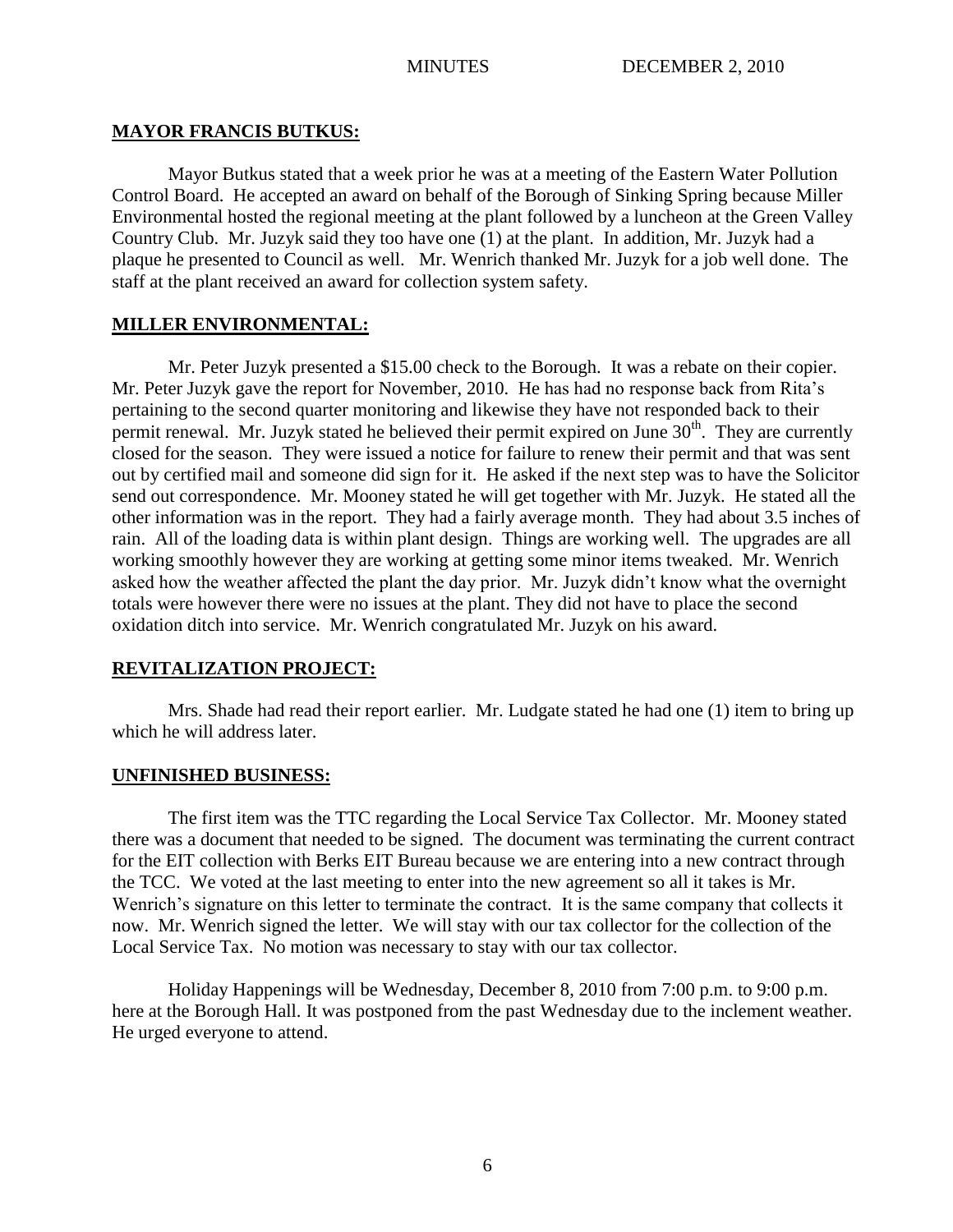## **MAYOR FRANCIS BUTKUS:**

Mayor Butkus stated that a week prior he was at a meeting of the Eastern Water Pollution Control Board. He accepted an award on behalf of the Borough of Sinking Spring because Miller Environmental hosted the regional meeting at the plant followed by a luncheon at the Green Valley Country Club. Mr. Juzyk said they too have one (1) at the plant. In addition, Mr. Juzyk had a plaque he presented to Council as well. Mr. Wenrich thanked Mr. Juzyk for a job well done. The staff at the plant received an award for collection system safety.

# **MILLER ENVIRONMENTAL:**

Mr. Peter Juzyk presented a \$15.00 check to the Borough. It was a rebate on their copier. Mr. Peter Juzyk gave the report for November, 2010. He has had no response back from Rita's pertaining to the second quarter monitoring and likewise they have not responded back to their permit renewal. Mr. Juzyk stated he believed their permit expired on June  $30<sup>th</sup>$ . They are currently closed for the season. They were issued a notice for failure to renew their permit and that was sent out by certified mail and someone did sign for it. He asked if the next step was to have the Solicitor send out correspondence. Mr. Mooney stated he will get together with Mr. Juzyk. He stated all the other information was in the report. They had a fairly average month. They had about 3.5 inches of rain. All of the loading data is within plant design. Things are working well. The upgrades are all working smoothly however they are working at getting some minor items tweaked. Mr. Wenrich asked how the weather affected the plant the day prior. Mr. Juzyk didn't know what the overnight totals were however there were no issues at the plant. They did not have to place the second oxidation ditch into service. Mr. Wenrich congratulated Mr. Juzyk on his award.

# **REVITALIZATION PROJECT:**

Mrs. Shade had read their report earlier. Mr. Ludgate stated he had one (1) item to bring up which he will address later.

# **UNFINISHED BUSINESS:**

The first item was the TTC regarding the Local Service Tax Collector. Mr. Mooney stated there was a document that needed to be signed. The document was terminating the current contract for the EIT collection with Berks EIT Bureau because we are entering into a new contract through the TCC. We voted at the last meeting to enter into the new agreement so all it takes is Mr. Wenrich's signature on this letter to terminate the contract. It is the same company that collects it now. Mr. Wenrich signed the letter. We will stay with our tax collector for the collection of the Local Service Tax. No motion was necessary to stay with our tax collector.

Holiday Happenings will be Wednesday, December 8, 2010 from 7:00 p.m. to 9:00 p.m. here at the Borough Hall. It was postponed from the past Wednesday due to the inclement weather. He urged everyone to attend.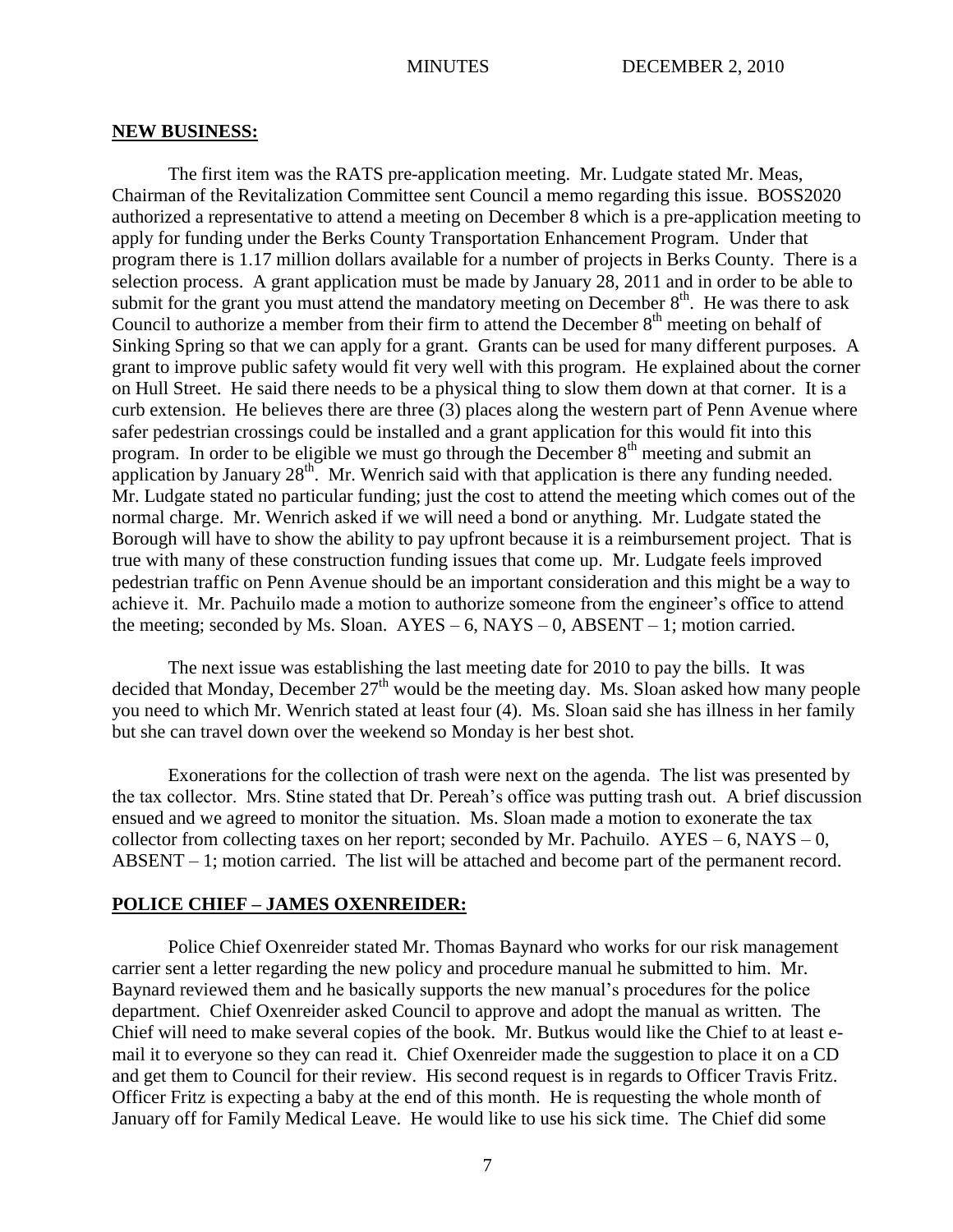#### **NEW BUSINESS:**

The first item was the RATS pre-application meeting. Mr. Ludgate stated Mr. Meas, Chairman of the Revitalization Committee sent Council a memo regarding this issue. BOSS2020 authorized a representative to attend a meeting on December 8 which is a pre-application meeting to apply for funding under the Berks County Transportation Enhancement Program. Under that program there is 1.17 million dollars available for a number of projects in Berks County. There is a selection process. A grant application must be made by January 28, 2011 and in order to be able to submit for the grant you must attend the mandatory meeting on December  $8<sup>th</sup>$ . He was there to ask Council to authorize a member from their firm to attend the December  $8<sup>th</sup>$  meeting on behalf of Sinking Spring so that we can apply for a grant. Grants can be used for many different purposes. A grant to improve public safety would fit very well with this program. He explained about the corner on Hull Street. He said there needs to be a physical thing to slow them down at that corner. It is a curb extension. He believes there are three (3) places along the western part of Penn Avenue where safer pedestrian crossings could be installed and a grant application for this would fit into this program. In order to be eligible we must go through the December 8<sup>th</sup> meeting and submit an application by January  $28<sup>th</sup>$ . Mr. Wenrich said with that application is there any funding needed. Mr. Ludgate stated no particular funding; just the cost to attend the meeting which comes out of the normal charge. Mr. Wenrich asked if we will need a bond or anything. Mr. Ludgate stated the Borough will have to show the ability to pay upfront because it is a reimbursement project. That is true with many of these construction funding issues that come up. Mr. Ludgate feels improved pedestrian traffic on Penn Avenue should be an important consideration and this might be a way to achieve it. Mr. Pachuilo made a motion to authorize someone from the engineer's office to attend the meeting; seconded by Ms. Sloan.  $AYES - 6$ ,  $NAYS - 0$ ,  $ABSENT - 1$ ; motion carried.

The next issue was establishing the last meeting date for 2010 to pay the bills. It was decided that Monday, December  $27<sup>th</sup>$  would be the meeting day. Ms. Sloan asked how many people you need to which Mr. Wenrich stated at least four (4). Ms. Sloan said she has illness in her family but she can travel down over the weekend so Monday is her best shot.

Exonerations for the collection of trash were next on the agenda. The list was presented by the tax collector. Mrs. Stine stated that Dr. Pereah's office was putting trash out. A brief discussion ensued and we agreed to monitor the situation. Ms. Sloan made a motion to exonerate the tax collector from collecting taxes on her report; seconded by Mr. Pachuilo.  $AYES - 6$ , NAYS – 0, ABSENT – 1; motion carried. The list will be attached and become part of the permanent record.

## **POLICE CHIEF – JAMES OXENREIDER:**

Police Chief Oxenreider stated Mr. Thomas Baynard who works for our risk management carrier sent a letter regarding the new policy and procedure manual he submitted to him. Mr. Baynard reviewed them and he basically supports the new manual's procedures for the police department. Chief Oxenreider asked Council to approve and adopt the manual as written. The Chief will need to make several copies of the book. Mr. Butkus would like the Chief to at least email it to everyone so they can read it. Chief Oxenreider made the suggestion to place it on a CD and get them to Council for their review. His second request is in regards to Officer Travis Fritz. Officer Fritz is expecting a baby at the end of this month. He is requesting the whole month of January off for Family Medical Leave. He would like to use his sick time. The Chief did some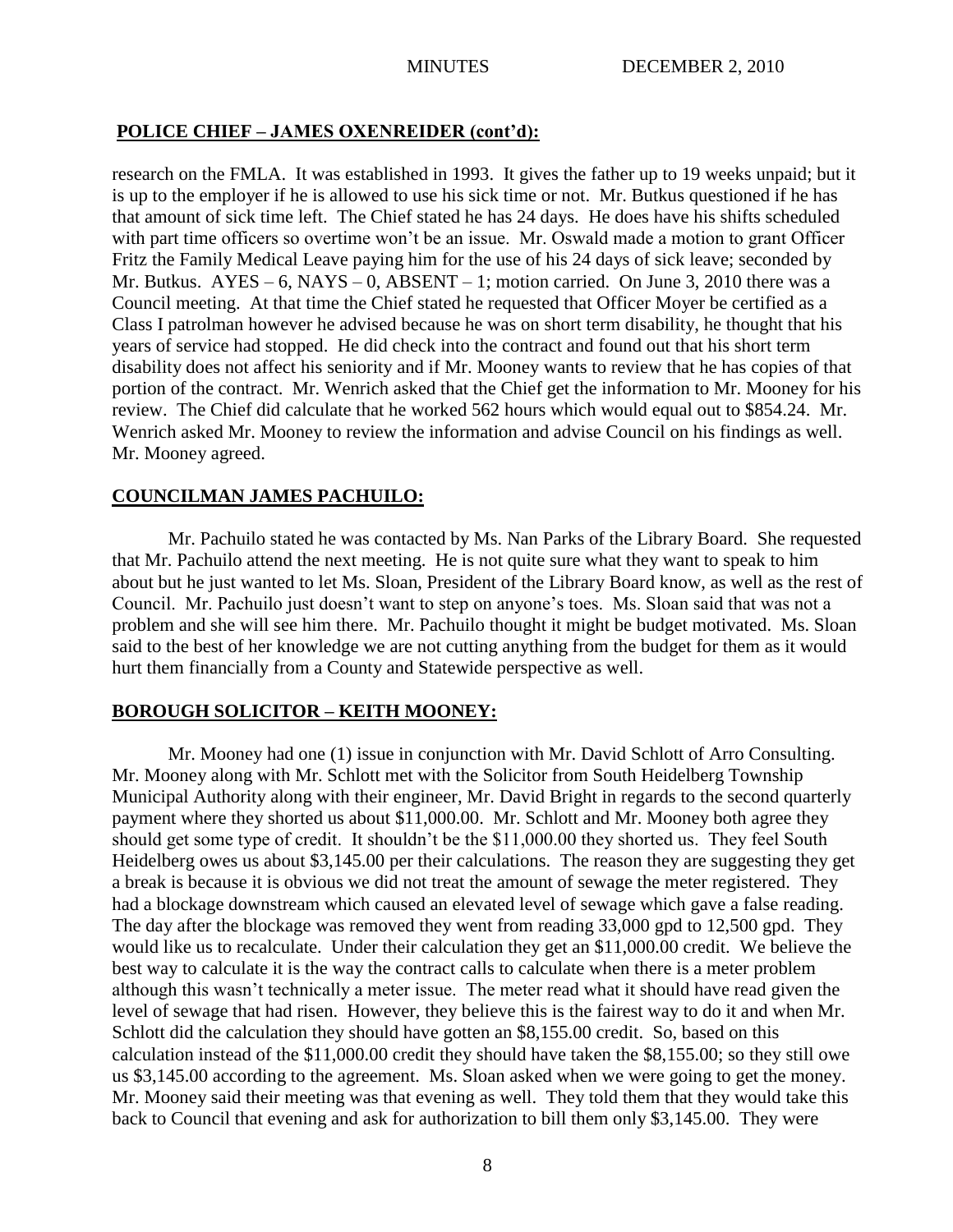## **POLICE CHIEF – JAMES OXENREIDER (cont'd):**

research on the FMLA. It was established in 1993. It gives the father up to 19 weeks unpaid; but it is up to the employer if he is allowed to use his sick time or not. Mr. Butkus questioned if he has that amount of sick time left. The Chief stated he has 24 days. He does have his shifts scheduled with part time officers so overtime won't be an issue. Mr. Oswald made a motion to grant Officer Fritz the Family Medical Leave paying him for the use of his 24 days of sick leave; seconded by Mr. Butkus.  $AYES - 6$ ,  $NAYS - 0$ ,  $ABSENT - 1$ ; motion carried. On June 3, 2010 there was a Council meeting. At that time the Chief stated he requested that Officer Moyer be certified as a Class I patrolman however he advised because he was on short term disability, he thought that his years of service had stopped. He did check into the contract and found out that his short term disability does not affect his seniority and if Mr. Mooney wants to review that he has copies of that portion of the contract. Mr. Wenrich asked that the Chief get the information to Mr. Mooney for his review. The Chief did calculate that he worked 562 hours which would equal out to \$854.24. Mr. Wenrich asked Mr. Mooney to review the information and advise Council on his findings as well. Mr. Mooney agreed.

## **COUNCILMAN JAMES PACHUILO:**

Mr. Pachuilo stated he was contacted by Ms. Nan Parks of the Library Board. She requested that Mr. Pachuilo attend the next meeting. He is not quite sure what they want to speak to him about but he just wanted to let Ms. Sloan, President of the Library Board know, as well as the rest of Council. Mr. Pachuilo just doesn't want to step on anyone's toes. Ms. Sloan said that was not a problem and she will see him there. Mr. Pachuilo thought it might be budget motivated. Ms. Sloan said to the best of her knowledge we are not cutting anything from the budget for them as it would hurt them financially from a County and Statewide perspective as well.

#### **BOROUGH SOLICITOR – KEITH MOONEY:**

Mr. Mooney had one (1) issue in conjunction with Mr. David Schlott of Arro Consulting. Mr. Mooney along with Mr. Schlott met with the Solicitor from South Heidelberg Township Municipal Authority along with their engineer, Mr. David Bright in regards to the second quarterly payment where they shorted us about \$11,000.00. Mr. Schlott and Mr. Mooney both agree they should get some type of credit. It shouldn't be the \$11,000.00 they shorted us. They feel South Heidelberg owes us about \$3,145.00 per their calculations. The reason they are suggesting they get a break is because it is obvious we did not treat the amount of sewage the meter registered. They had a blockage downstream which caused an elevated level of sewage which gave a false reading. The day after the blockage was removed they went from reading 33,000 gpd to 12,500 gpd. They would like us to recalculate. Under their calculation they get an \$11,000.00 credit. We believe the best way to calculate it is the way the contract calls to calculate when there is a meter problem although this wasn't technically a meter issue. The meter read what it should have read given the level of sewage that had risen. However, they believe this is the fairest way to do it and when Mr. Schlott did the calculation they should have gotten an \$8,155.00 credit. So, based on this calculation instead of the \$11,000.00 credit they should have taken the \$8,155.00; so they still owe us \$3,145.00 according to the agreement. Ms. Sloan asked when we were going to get the money. Mr. Mooney said their meeting was that evening as well. They told them that they would take this back to Council that evening and ask for authorization to bill them only \$3,145.00. They were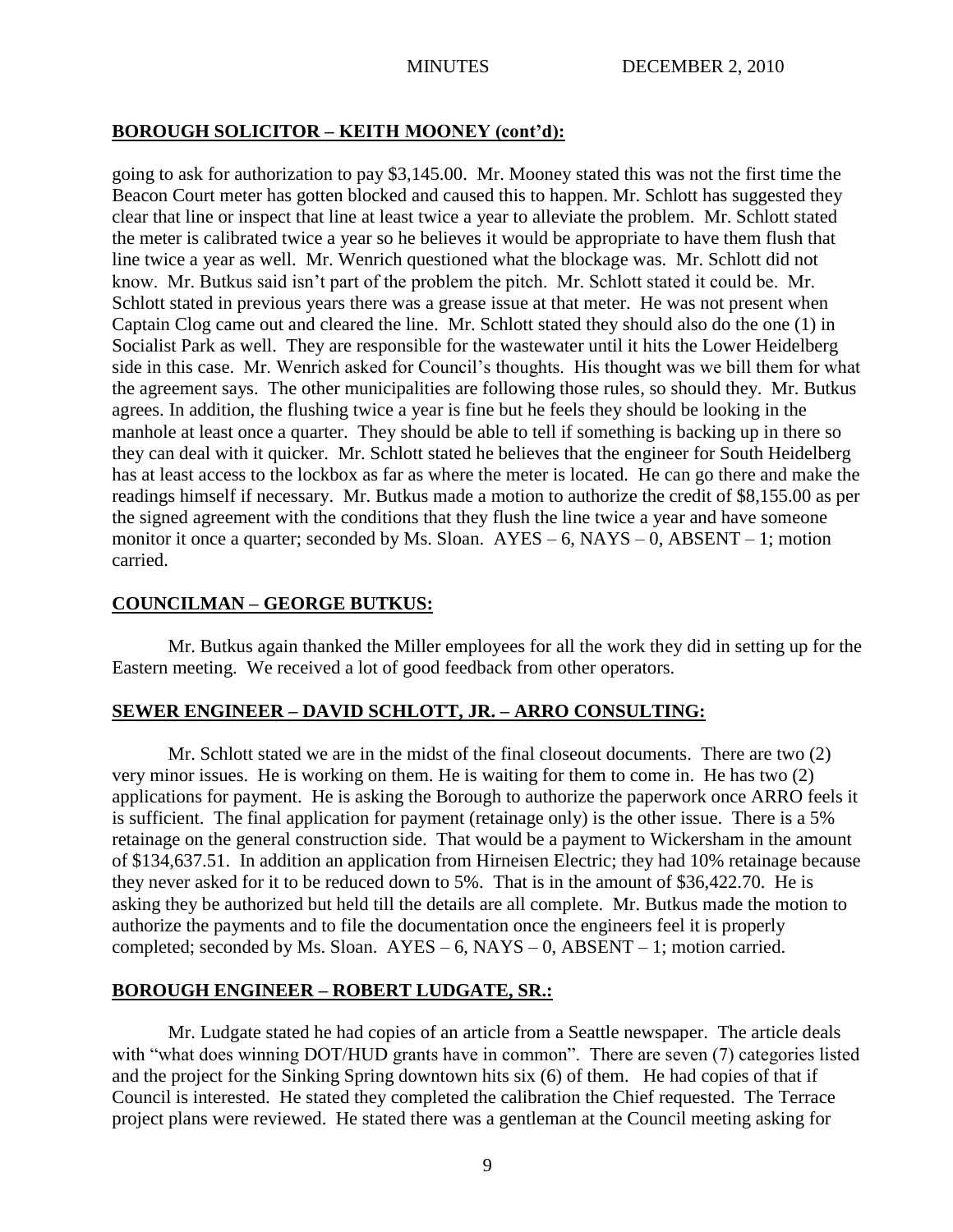# **BOROUGH SOLICITOR – KEITH MOONEY (cont'd):**

going to ask for authorization to pay \$3,145.00. Mr. Mooney stated this was not the first time the Beacon Court meter has gotten blocked and caused this to happen. Mr. Schlott has suggested they clear that line or inspect that line at least twice a year to alleviate the problem. Mr. Schlott stated the meter is calibrated twice a year so he believes it would be appropriate to have them flush that line twice a year as well. Mr. Wenrich questioned what the blockage was. Mr. Schlott did not know. Mr. Butkus said isn't part of the problem the pitch. Mr. Schlott stated it could be. Mr. Schlott stated in previous years there was a grease issue at that meter. He was not present when Captain Clog came out and cleared the line. Mr. Schlott stated they should also do the one (1) in Socialist Park as well. They are responsible for the wastewater until it hits the Lower Heidelberg side in this case. Mr. Wenrich asked for Council's thoughts. His thought was we bill them for what the agreement says. The other municipalities are following those rules, so should they. Mr. Butkus agrees. In addition, the flushing twice a year is fine but he feels they should be looking in the manhole at least once a quarter. They should be able to tell if something is backing up in there so they can deal with it quicker. Mr. Schlott stated he believes that the engineer for South Heidelberg has at least access to the lockbox as far as where the meter is located. He can go there and make the readings himself if necessary. Mr. Butkus made a motion to authorize the credit of \$8,155.00 as per the signed agreement with the conditions that they flush the line twice a year and have someone monitor it once a quarter; seconded by Ms. Sloan.  $AYES - 6$ ,  $NAYS - 0$ ,  $ABSENT - 1$ ; motion carried.

# **COUNCILMAN – GEORGE BUTKUS:**

Mr. Butkus again thanked the Miller employees for all the work they did in setting up for the Eastern meeting. We received a lot of good feedback from other operators.

# **SEWER ENGINEER – DAVID SCHLOTT, JR. – ARRO CONSULTING:**

Mr. Schlott stated we are in the midst of the final closeout documents. There are two (2) very minor issues. He is working on them. He is waiting for them to come in. He has two (2) applications for payment. He is asking the Borough to authorize the paperwork once ARRO feels it is sufficient. The final application for payment (retainage only) is the other issue. There is a 5% retainage on the general construction side. That would be a payment to Wickersham in the amount of \$134,637.51. In addition an application from Hirneisen Electric; they had 10% retainage because they never asked for it to be reduced down to 5%. That is in the amount of \$36,422.70. He is asking they be authorized but held till the details are all complete. Mr. Butkus made the motion to authorize the payments and to file the documentation once the engineers feel it is properly completed; seconded by Ms. Sloan.  $AYES - 6$ ,  $NAYS - 0$ ,  $ABSENT - 1$ ; motion carried.

# **BOROUGH ENGINEER – ROBERT LUDGATE, SR.:**

Mr. Ludgate stated he had copies of an article from a Seattle newspaper. The article deals with "what does winning DOT/HUD grants have in common". There are seven (7) categories listed and the project for the Sinking Spring downtown hits six (6) of them. He had copies of that if Council is interested. He stated they completed the calibration the Chief requested. The Terrace project plans were reviewed. He stated there was a gentleman at the Council meeting asking for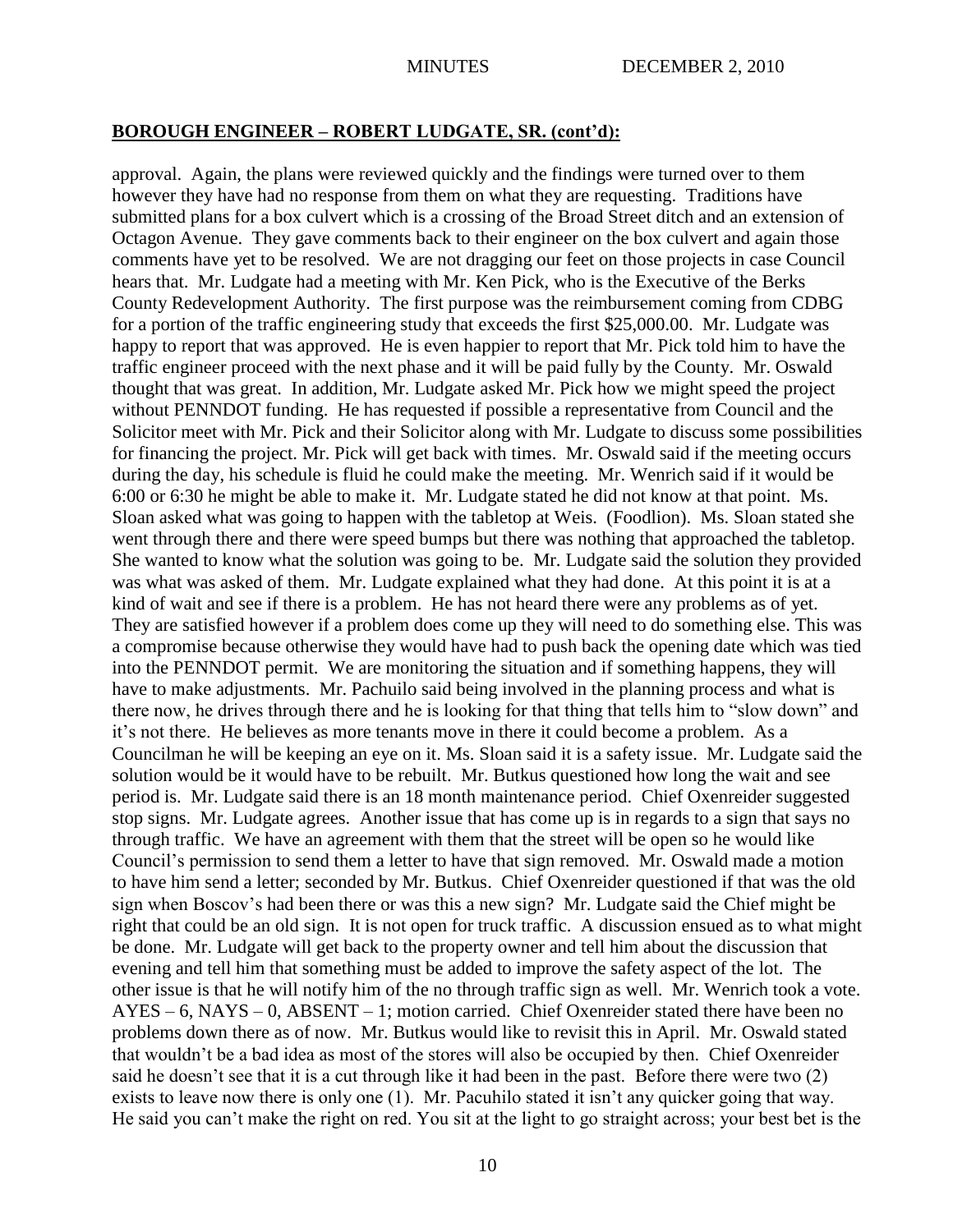## **BOROUGH ENGINEER – ROBERT LUDGATE, SR. (cont'd):**

approval. Again, the plans were reviewed quickly and the findings were turned over to them however they have had no response from them on what they are requesting. Traditions have submitted plans for a box culvert which is a crossing of the Broad Street ditch and an extension of Octagon Avenue. They gave comments back to their engineer on the box culvert and again those comments have yet to be resolved. We are not dragging our feet on those projects in case Council hears that. Mr. Ludgate had a meeting with Mr. Ken Pick, who is the Executive of the Berks County Redevelopment Authority. The first purpose was the reimbursement coming from CDBG for a portion of the traffic engineering study that exceeds the first \$25,000.00. Mr. Ludgate was happy to report that was approved. He is even happier to report that Mr. Pick told him to have the traffic engineer proceed with the next phase and it will be paid fully by the County. Mr. Oswald thought that was great. In addition, Mr. Ludgate asked Mr. Pick how we might speed the project without PENNDOT funding. He has requested if possible a representative from Council and the Solicitor meet with Mr. Pick and their Solicitor along with Mr. Ludgate to discuss some possibilities for financing the project. Mr. Pick will get back with times. Mr. Oswald said if the meeting occurs during the day, his schedule is fluid he could make the meeting. Mr. Wenrich said if it would be 6:00 or 6:30 he might be able to make it. Mr. Ludgate stated he did not know at that point. Ms. Sloan asked what was going to happen with the tabletop at Weis. (Foodlion). Ms. Sloan stated she went through there and there were speed bumps but there was nothing that approached the tabletop. She wanted to know what the solution was going to be. Mr. Ludgate said the solution they provided was what was asked of them. Mr. Ludgate explained what they had done. At this point it is at a kind of wait and see if there is a problem. He has not heard there were any problems as of yet. They are satisfied however if a problem does come up they will need to do something else. This was a compromise because otherwise they would have had to push back the opening date which was tied into the PENNDOT permit. We are monitoring the situation and if something happens, they will have to make adjustments. Mr. Pachuilo said being involved in the planning process and what is there now, he drives through there and he is looking for that thing that tells him to "slow down" and it's not there. He believes as more tenants move in there it could become a problem. As a Councilman he will be keeping an eye on it. Ms. Sloan said it is a safety issue. Mr. Ludgate said the solution would be it would have to be rebuilt. Mr. Butkus questioned how long the wait and see period is. Mr. Ludgate said there is an 18 month maintenance period. Chief Oxenreider suggested stop signs. Mr. Ludgate agrees. Another issue that has come up is in regards to a sign that says no through traffic. We have an agreement with them that the street will be open so he would like Council's permission to send them a letter to have that sign removed. Mr. Oswald made a motion to have him send a letter; seconded by Mr. Butkus. Chief Oxenreider questioned if that was the old sign when Boscov's had been there or was this a new sign? Mr. Ludgate said the Chief might be right that could be an old sign. It is not open for truck traffic. A discussion ensued as to what might be done. Mr. Ludgate will get back to the property owner and tell him about the discussion that evening and tell him that something must be added to improve the safety aspect of the lot. The other issue is that he will notify him of the no through traffic sign as well. Mr. Wenrich took a vote. AYES – 6, NAYS – 0, ABSENT – 1; motion carried. Chief Oxenreider stated there have been no problems down there as of now. Mr. Butkus would like to revisit this in April. Mr. Oswald stated that wouldn't be a bad idea as most of the stores will also be occupied by then. Chief Oxenreider said he doesn't see that it is a cut through like it had been in the past. Before there were two (2) exists to leave now there is only one (1). Mr. Pacuhilo stated it isn't any quicker going that way. He said you can't make the right on red. You sit at the light to go straight across; your best bet is the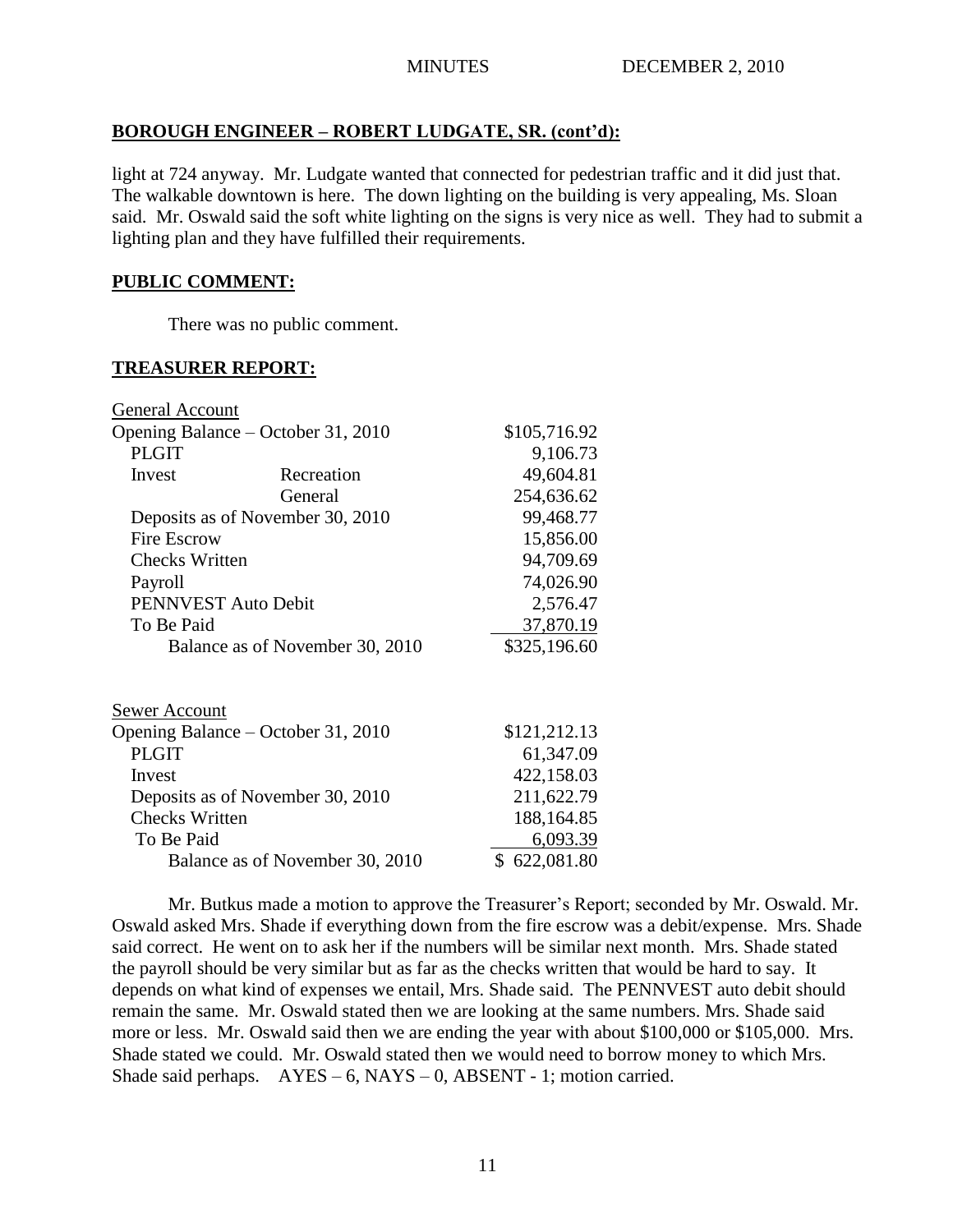# **BOROUGH ENGINEER – ROBERT LUDGATE, SR. (cont'd):**

light at 724 anyway. Mr. Ludgate wanted that connected for pedestrian traffic and it did just that. The walkable downtown is here. The down lighting on the building is very appealing, Ms. Sloan said. Mr. Oswald said the soft white lighting on the signs is very nice as well. They had to submit a lighting plan and they have fulfilled their requirements.

# **PUBLIC COMMENT:**

There was no public comment.

## **TREASURER REPORT:**

| General Account                    |                                 |              |
|------------------------------------|---------------------------------|--------------|
| Opening Balance - October 31, 2010 | \$105,716.92                    |              |
| <b>PLGIT</b>                       |                                 | 9,106.73     |
| Invest                             | Recreation                      | 49,604.81    |
|                                    | General                         | 254,636.62   |
| Deposits as of November 30, 2010   |                                 | 99,468.77    |
| Fire Escrow                        |                                 | 15,856.00    |
| Checks Written                     |                                 | 94,709.69    |
| Payroll                            |                                 | 74,026.90    |
| PENNVEST Auto Debit                |                                 | 2,576.47     |
| To Be Paid                         |                                 | 37,870.19    |
|                                    | Balance as of November 30, 2010 | \$325,196.60 |
| <u>Sewer Account</u>               |                                 |              |
| Opening Balance – October 31, 2010 |                                 | \$121,212.13 |
| <b>PLGIT</b>                       |                                 | 61,347.09    |
| Invest                             |                                 | 422,158.03   |
| Deposits as of November 30, 2010   |                                 | 211,622.79   |
| <b>Checks Written</b>              |                                 | 188,164.85   |
| To Be Paid                         |                                 | 6,093.39     |
| Balance as of November 30, 2010    |                                 | \$622,081.80 |

Mr. Butkus made a motion to approve the Treasurer's Report; seconded by Mr. Oswald. Mr. Oswald asked Mrs. Shade if everything down from the fire escrow was a debit/expense. Mrs. Shade said correct. He went on to ask her if the numbers will be similar next month. Mrs. Shade stated the payroll should be very similar but as far as the checks written that would be hard to say. It depends on what kind of expenses we entail, Mrs. Shade said. The PENNVEST auto debit should remain the same. Mr. Oswald stated then we are looking at the same numbers. Mrs. Shade said more or less. Mr. Oswald said then we are ending the year with about \$100,000 or \$105,000. Mrs. Shade stated we could. Mr. Oswald stated then we would need to borrow money to which Mrs. Shade said perhaps.  $AYES - 6$ ,  $NAYS - 0$ ,  $ABSENT - 1$ ; motion carried.